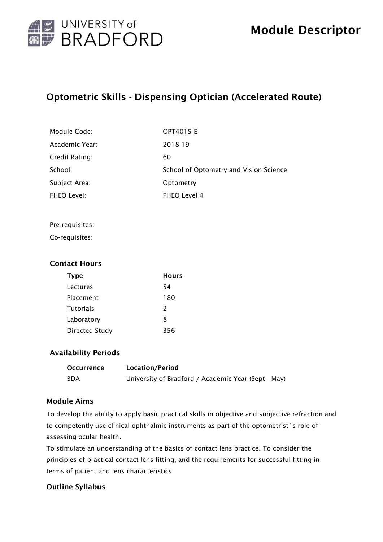

# Optometric Skills - Dispensing Optician (Accelerated Route)

| Module Code:   | OPT4015-E                              |
|----------------|----------------------------------------|
| Academic Year: | 2018-19                                |
| Credit Rating: | 60                                     |
| School:        | School of Optometry and Vision Science |
| Subject Area:  | Optometry                              |
| FHEQ Level:    | FHEQ Level 4                           |

#### Pre-requisites:

Co-requisites:

#### Contact Hours

| Type                  | <b>Hours</b>  |
|-----------------------|---------------|
| Lectures              | 54            |
| Placement             | 180           |
| <b>Tutorials</b>      | $\mathcal{P}$ |
| Laboratory            | 8             |
| <b>Directed Study</b> | 356           |

#### Availability Periods

| <b>Occurrence</b> | Location/Period                                     |
|-------------------|-----------------------------------------------------|
| <b>BDA</b>        | University of Bradford / Academic Year (Sept - May) |

#### Module Aims

To develop the ability to apply basic practical skills in objective and subjective refraction and to competently use clinical ophthalmic instruments as part of the optometrist`s role of assessing ocular health.

To stimulate an understanding of the basics of contact lens practice. To consider the principles of practical contact lens fitting, and the requirements for successful fitting in terms of patient and lens characteristics.

#### Outline Syllabus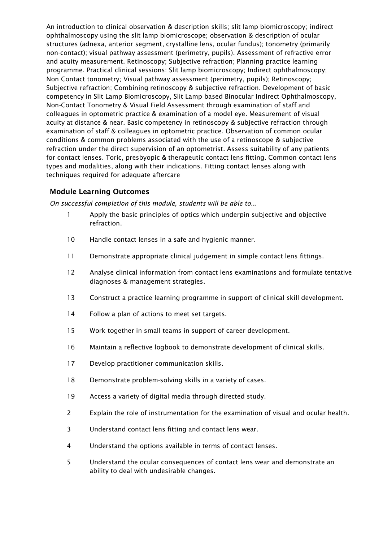An introduction to clinical observation & description skills; slit lamp biomicroscopy; indirect ophthalmoscopy using the slit lamp biomicroscope; observation & description of ocular structures (adnexa, anterior segment, crystalline lens, ocular fundus); tonometry (primarily non-contact); visual pathway assessment (perimetry, pupils). Assessment of refractive error and acuity measurement. Retinoscopy; Subjective refraction; Planning practice learning programme. Practical clinical sessions: Slit lamp biomicroscopy; Indirect ophthalmoscopy; Non Contact tonometry; Visual pathway assessment (perimetry, pupils); Retinoscopy; Subjective refraction; Combining retinoscopy & subjective refraction. Development of basic competency in Slit Lamp Biomicroscopy, Slit Lamp based Binocular Indirect Ophthalmoscopy, Non-Contact Tonometry & Visual Field Assessment through examination of staff and colleagues in optometric practice & examination of a model eye. Measurement of visual acuity at distance & near. Basic competency in retinoscopy & subjective refraction through examination of staff & colleagues in optometric practice. Observation of common ocular conditions & common problems associated with the use of a retinoscope & subjective refraction under the direct supervision of an optometrist. Assess suitability of any patients for contact lenses. Toric, presbyopic & therapeutic contact lens fitting. Common contact lens types and modalities, along with their indications. Fitting contact lenses along with techniques required for adequate aftercare

#### Module Learning Outcomes

*On successful completion of this module, students will be able to...*

- 1 Apply the basic principles of optics which underpin subjective and objective refraction.
- 10 Handle contact lenses in a safe and hygienic manner.
- 11 Demonstrate appropriate clinical judgement in simple contact lens fittings.
- 12 Analyse clinical information from contact lens examinations and formulate tentative diagnoses & management strategies.
- 13 Construct a practice learning programme in support of clinical skill development.
- 14 Follow a plan of actions to meet set targets.
- 15 Work together in small teams in support of career development.
- 16 Maintain a reflective logbook to demonstrate development of clinical skills.
- 17 Develop practitioner communication skills.
- 18 Demonstrate problem-solving skills in a variety of cases.
- 19 Access a variety of digital media through directed study.
- 2 Explain the role of instrumentation for the examination of visual and ocular health.
- 3 Understand contact lens fitting and contact lens wear.
- 4 Understand the options available in terms of contact lenses.
- 5 Understand the ocular consequences of contact lens wear and demonstrate an ability to deal with undesirable changes.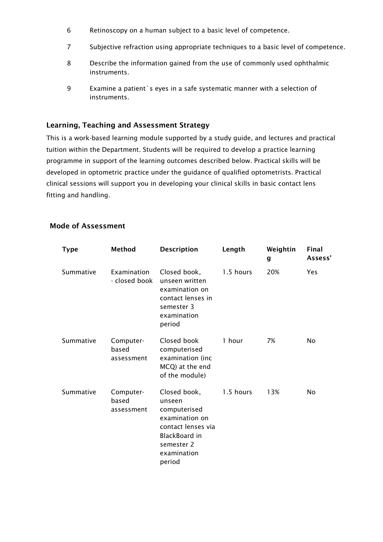- 6 Retinoscopy on a human subject to a basic level of competence.
- 7 Subjective refraction using appropriate techniques to a basic level of competence.
- 8 Describe the information gained from the use of commonly used ophthalmic instruments.
- 9 Examine a patient`s eyes in a safe systematic manner with a selection of instruments.

#### Learning, Teaching and Assessment Strategy

This is a work-based learning module supported by a study guide, and lectures and practical tuition within the Department. Students will be required to develop a practice learning programme in support of the learning outcomes described below. Practical skills will be developed in optometric practice under the guidance of qualified optometrists. Practical clinical sessions will support you in developing your clinical skills in basic contact lens fitting and handling.

#### Mode of Assessment

| <b>Type</b> | Method                           | <b>Description</b>                                                                                                                     | Length    | Weightin<br>g | Final<br>Assess' |
|-------------|----------------------------------|----------------------------------------------------------------------------------------------------------------------------------------|-----------|---------------|------------------|
| Summative   | Examination<br>- closed book     | Closed book,<br>unseen written<br>examination on<br>contact lenses in<br>semester 3<br>examination<br>period                           | 1.5 hours | 20%           | Yes              |
| Summative   | Computer-<br>based<br>assessment | Closed book<br>computerised<br>examination (inc<br>MCQ) at the end<br>of the module)                                                   | 1 hour    | 7%            | No               |
| Summative   | Computer-<br>based<br>assessment | Closed book,<br>unseen<br>computerised<br>examination on<br>contact lenses via<br>BlackBoard in<br>semester 2<br>examination<br>period | 1.5 hours | 13%           | No.              |